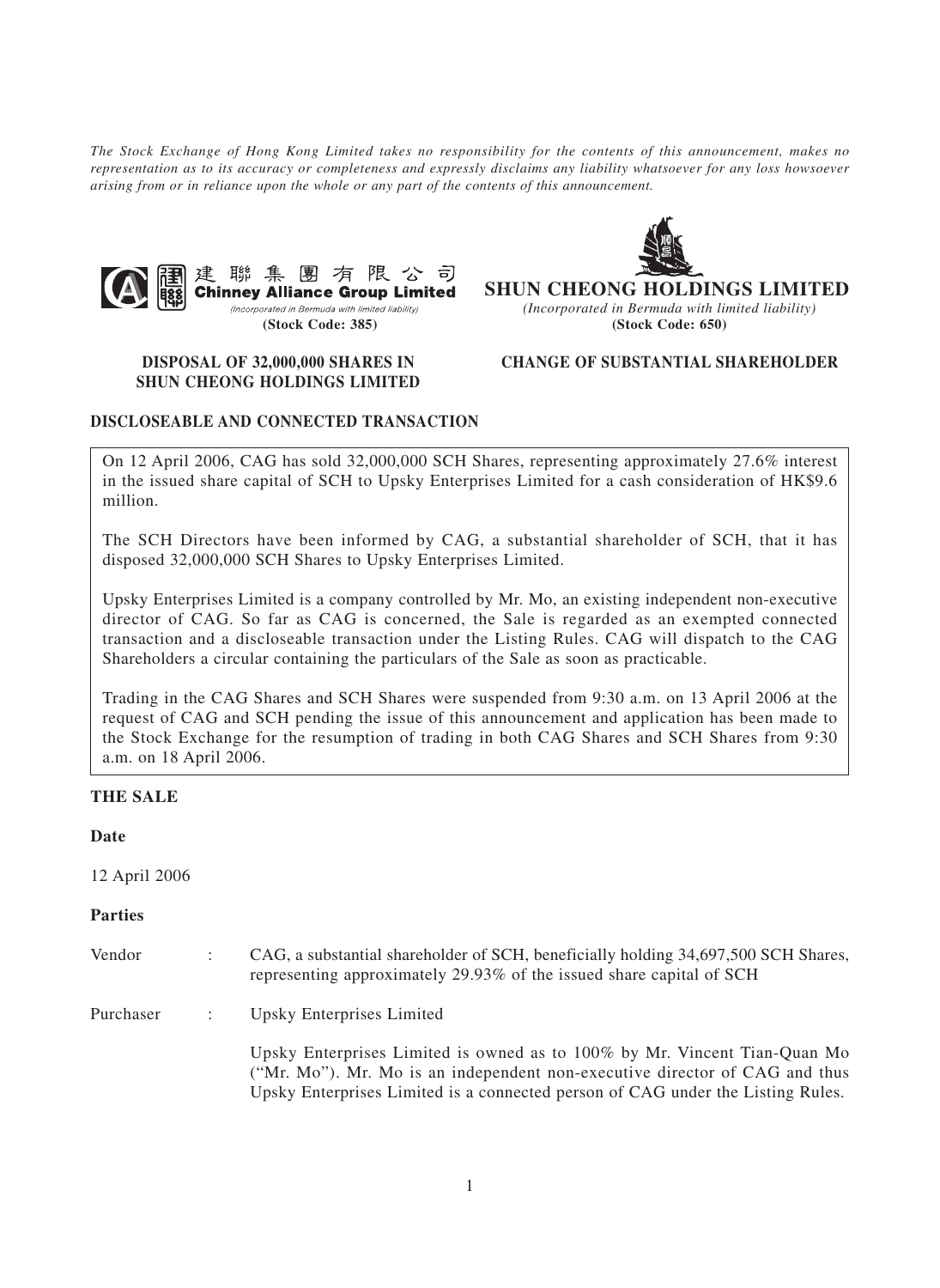*The Stock Exchange of Hong Kong Limited takes no responsibility for the contents of this announcement, makes no representation as to its accuracy or completeness and expressly disclaims any liability whatsoever for any loss howsoever arising from or in reliance upon the whole or any part of the contents of this announcement.*



**SHUN CHEONG HOLDINGS LIMITED** *(Incorporated in Bermuda with limited liability)* **(Stock Code: 385) (Stock Code: 650)**

# **SHUN CHEONG HOLDINGS LIMITED**

# **DISPOSAL OF 32,000,000 SHARES IN CHANGE OF SUBSTANTIAL SHAREHOLDER**

## **DISCLOSEABLE AND CONNECTED TRANSACTION**

On 12 April 2006, CAG has sold 32,000,000 SCH Shares, representing approximately 27.6% interest in the issued share capital of SCH to Upsky Enterprises Limited for a cash consideration of HK\$9.6 million.

The SCH Directors have been informed by CAG, a substantial shareholder of SCH, that it has disposed 32,000,000 SCH Shares to Upsky Enterprises Limited.

Upsky Enterprises Limited is a company controlled by Mr. Mo, an existing independent non-executive director of CAG. So far as CAG is concerned, the Sale is regarded as an exempted connected transaction and a discloseable transaction under the Listing Rules. CAG will dispatch to the CAG Shareholders a circular containing the particulars of the Sale as soon as practicable.

Trading in the CAG Shares and SCH Shares were suspended from 9:30 a.m. on 13 April 2006 at the request of CAG and SCH pending the issue of this announcement and application has been made to the Stock Exchange for the resumption of trading in both CAG Shares and SCH Shares from 9:30 a.m. on 18 April 2006.

#### **THE SALE**

#### **Date**

12 April 2006

#### **Parties**

| Vendor    | CAG, a substantial shareholder of SCH, beneficially holding 34,697,500 SCH Shares,<br>representing approximately 29.93% of the issued share capital of SCH                                                                                  |
|-----------|---------------------------------------------------------------------------------------------------------------------------------------------------------------------------------------------------------------------------------------------|
| Purchaser | Upsky Enterprises Limited                                                                                                                                                                                                                   |
|           | Upsky Enterprises Limited is owned as to 100% by Mr. Vincent Tian-Quan Mo<br>("Mr. Mo"). Mr. Mo is an independent non-executive director of CAG and thus<br>Upsky Enterprises Limited is a connected person of CAG under the Listing Rules. |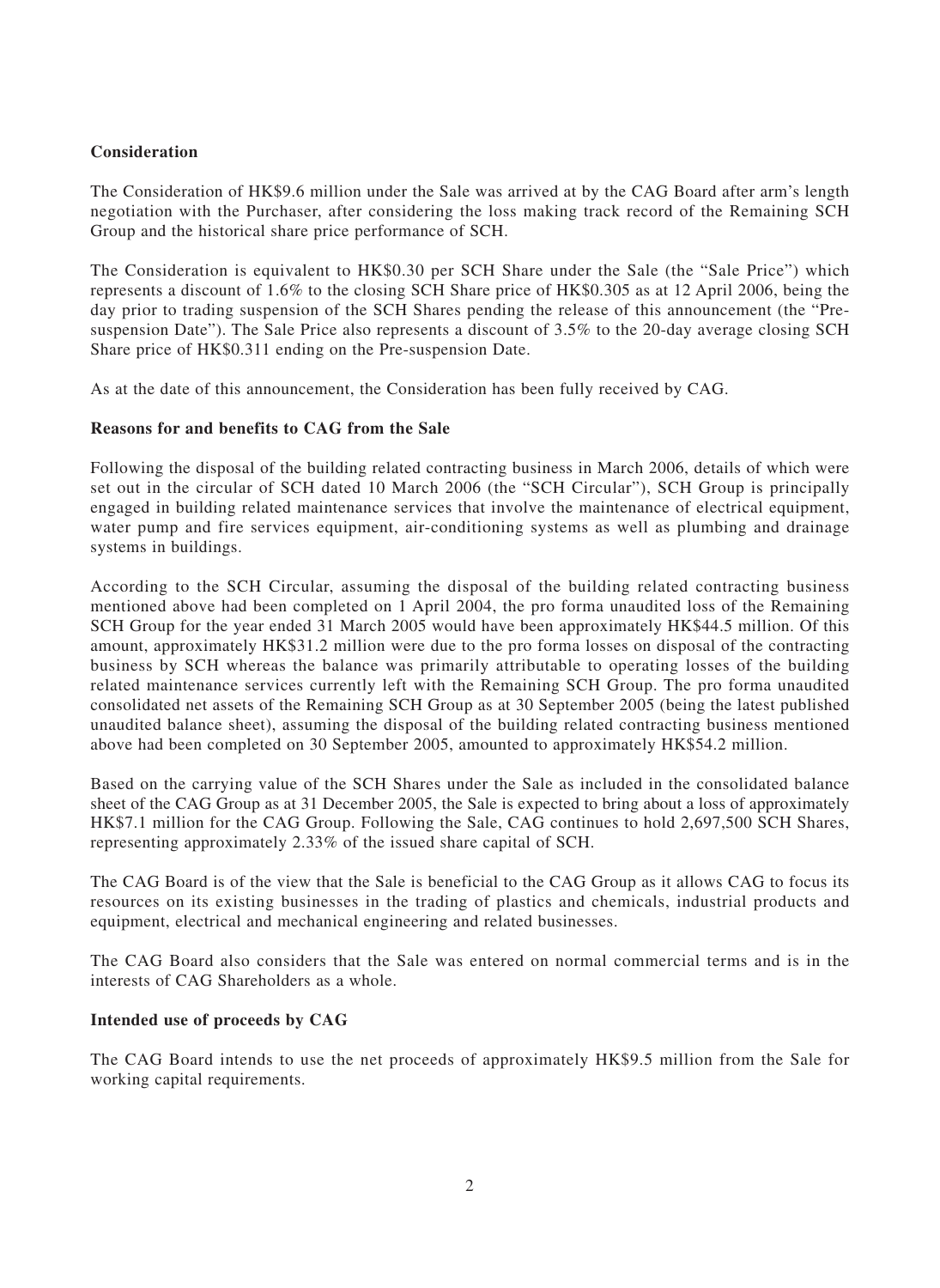# **Consideration**

The Consideration of HK\$9.6 million under the Sale was arrived at by the CAG Board after arm's length negotiation with the Purchaser, after considering the loss making track record of the Remaining SCH Group and the historical share price performance of SCH.

The Consideration is equivalent to HK\$0.30 per SCH Share under the Sale (the "Sale Price") which represents a discount of 1.6% to the closing SCH Share price of HK\$0.305 as at 12 April 2006, being the day prior to trading suspension of the SCH Shares pending the release of this announcement (the "Presuspension Date"). The Sale Price also represents a discount of 3.5% to the 20-day average closing SCH Share price of HK\$0.311 ending on the Pre-suspension Date.

As at the date of this announcement, the Consideration has been fully received by CAG.

#### **Reasons for and benefits to CAG from the Sale**

Following the disposal of the building related contracting business in March 2006, details of which were set out in the circular of SCH dated 10 March 2006 (the "SCH Circular"), SCH Group is principally engaged in building related maintenance services that involve the maintenance of electrical equipment, water pump and fire services equipment, air-conditioning systems as well as plumbing and drainage systems in buildings.

According to the SCH Circular, assuming the disposal of the building related contracting business mentioned above had been completed on 1 April 2004, the pro forma unaudited loss of the Remaining SCH Group for the year ended 31 March 2005 would have been approximately HK\$44.5 million. Of this amount, approximately HK\$31.2 million were due to the pro forma losses on disposal of the contracting business by SCH whereas the balance was primarily attributable to operating losses of the building related maintenance services currently left with the Remaining SCH Group. The pro forma unaudited consolidated net assets of the Remaining SCH Group as at 30 September 2005 (being the latest published unaudited balance sheet), assuming the disposal of the building related contracting business mentioned above had been completed on 30 September 2005, amounted to approximately HK\$54.2 million.

Based on the carrying value of the SCH Shares under the Sale as included in the consolidated balance sheet of the CAG Group as at 31 December 2005, the Sale is expected to bring about a loss of approximately HK\$7.1 million for the CAG Group. Following the Sale, CAG continues to hold 2,697,500 SCH Shares, representing approximately 2.33% of the issued share capital of SCH.

The CAG Board is of the view that the Sale is beneficial to the CAG Group as it allows CAG to focus its resources on its existing businesses in the trading of plastics and chemicals, industrial products and equipment, electrical and mechanical engineering and related businesses.

The CAG Board also considers that the Sale was entered on normal commercial terms and is in the interests of CAG Shareholders as a whole.

## **Intended use of proceeds by CAG**

The CAG Board intends to use the net proceeds of approximately HK\$9.5 million from the Sale for working capital requirements.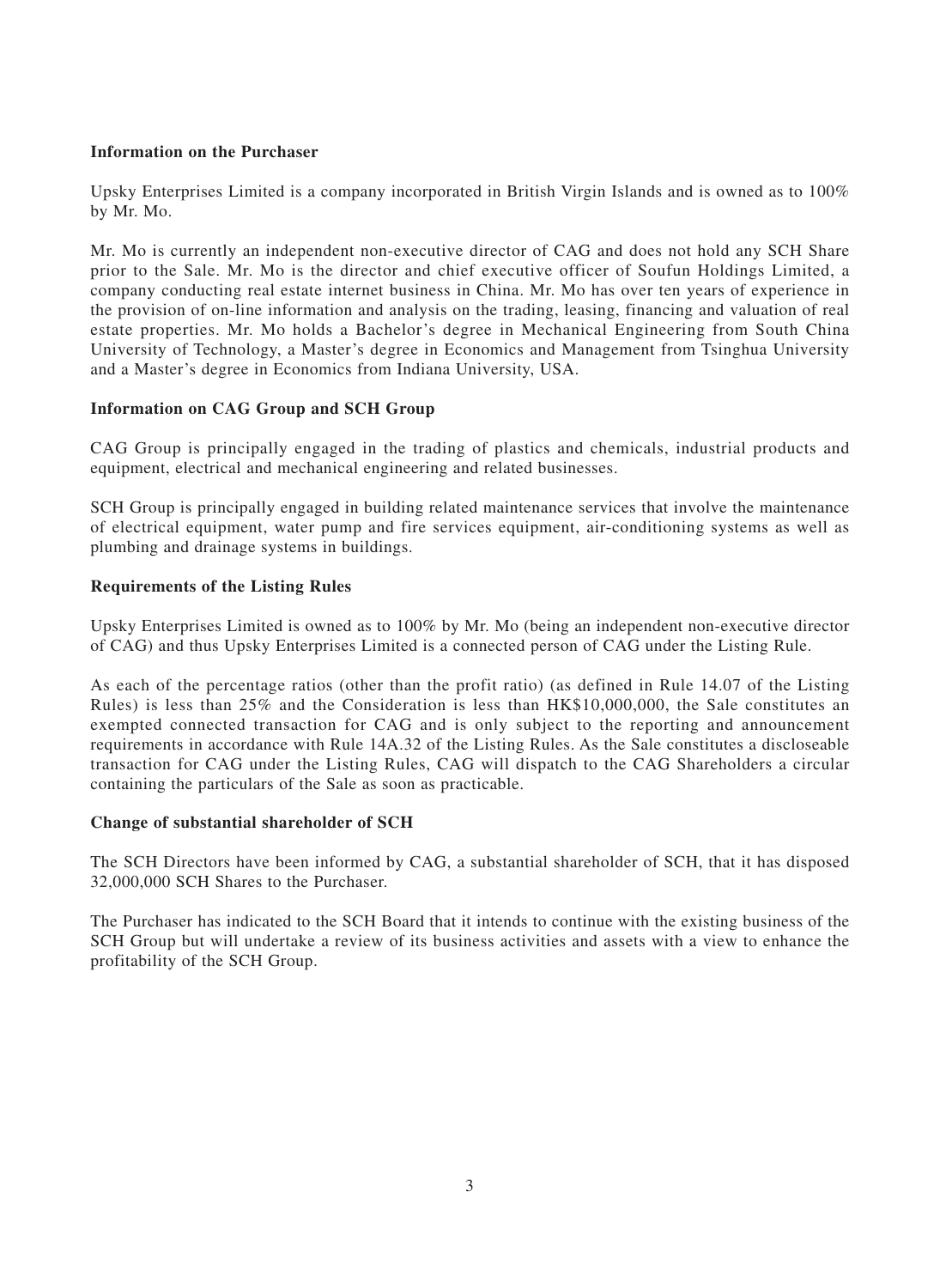# **Information on the Purchaser**

Upsky Enterprises Limited is a company incorporated in British Virgin Islands and is owned as to 100% by Mr. Mo.

Mr. Mo is currently an independent non-executive director of CAG and does not hold any SCH Share prior to the Sale. Mr. Mo is the director and chief executive officer of Soufun Holdings Limited, a company conducting real estate internet business in China. Mr. Mo has over ten years of experience in the provision of on-line information and analysis on the trading, leasing, financing and valuation of real estate properties. Mr. Mo holds a Bachelor's degree in Mechanical Engineering from South China University of Technology, a Master's degree in Economics and Management from Tsinghua University and a Master's degree in Economics from Indiana University, USA.

# **Information on CAG Group and SCH Group**

CAG Group is principally engaged in the trading of plastics and chemicals, industrial products and equipment, electrical and mechanical engineering and related businesses.

SCH Group is principally engaged in building related maintenance services that involve the maintenance of electrical equipment, water pump and fire services equipment, air-conditioning systems as well as plumbing and drainage systems in buildings.

# **Requirements of the Listing Rules**

Upsky Enterprises Limited is owned as to 100% by Mr. Mo (being an independent non-executive director of CAG) and thus Upsky Enterprises Limited is a connected person of CAG under the Listing Rule.

As each of the percentage ratios (other than the profit ratio) (as defined in Rule 14.07 of the Listing Rules) is less than 25% and the Consideration is less than HK\$10,000,000, the Sale constitutes an exempted connected transaction for CAG and is only subject to the reporting and announcement requirements in accordance with Rule 14A.32 of the Listing Rules. As the Sale constitutes a discloseable transaction for CAG under the Listing Rules, CAG will dispatch to the CAG Shareholders a circular containing the particulars of the Sale as soon as practicable.

## **Change of substantial shareholder of SCH**

The SCH Directors have been informed by CAG, a substantial shareholder of SCH, that it has disposed 32,000,000 SCH Shares to the Purchaser.

The Purchaser has indicated to the SCH Board that it intends to continue with the existing business of the SCH Group but will undertake a review of its business activities and assets with a view to enhance the profitability of the SCH Group.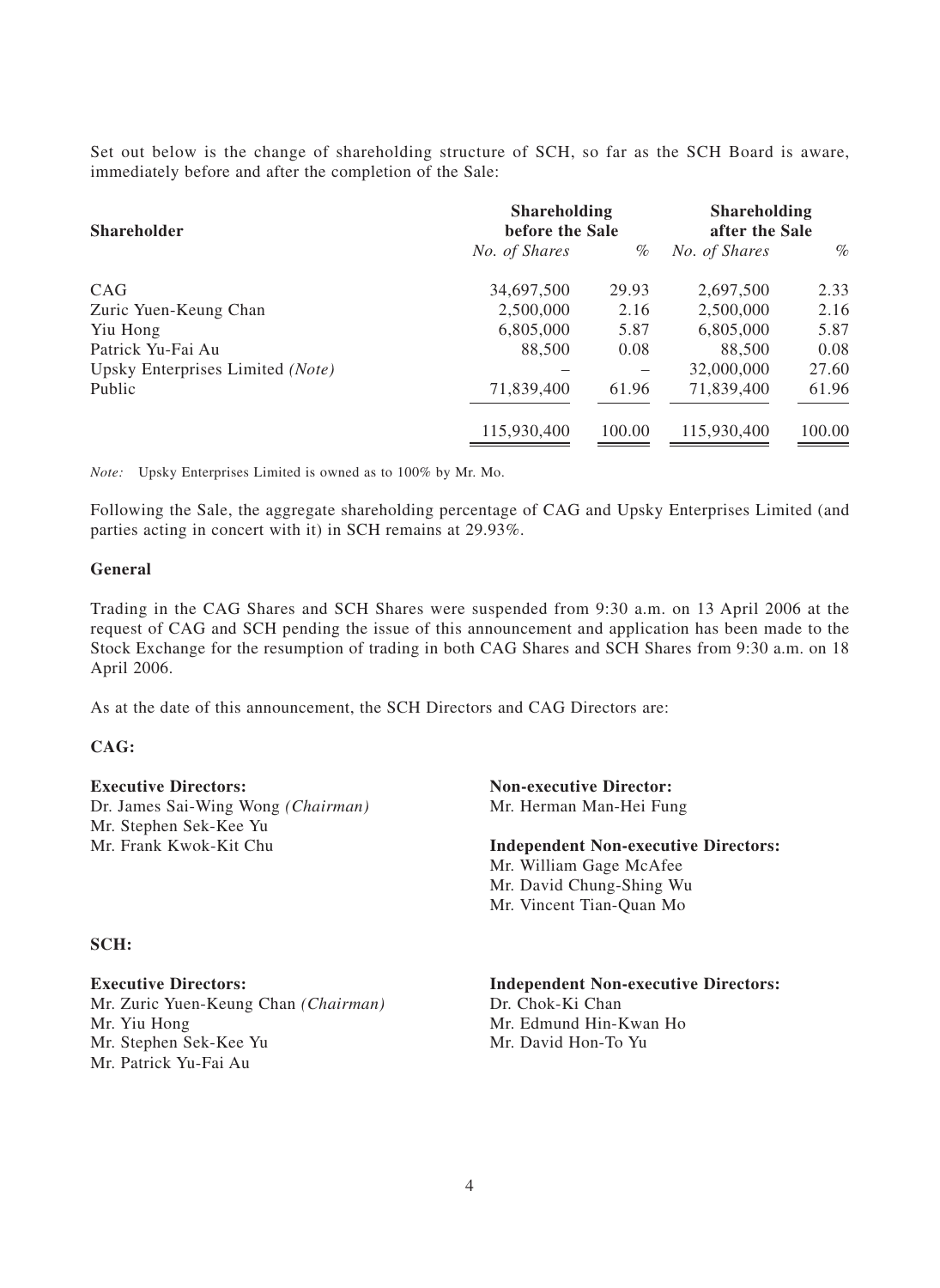Set out below is the change of shareholding structure of SCH, so far as the SCH Board is aware, immediately before and after the completion of the Sale:

| <b>Shareholder</b>               | <b>Shareholding</b><br>before the Sale |        | <b>Shareholding</b><br>after the Sale |        |
|----------------------------------|----------------------------------------|--------|---------------------------------------|--------|
|                                  | No. of Shares                          | $\%$   | No. of Shares                         | $\%$   |
| CAG                              | 34,697,500                             | 29.93  | 2,697,500                             | 2.33   |
| Zuric Yuen-Keung Chan            | 2,500,000                              | 2.16   | 2,500,000                             | 2.16   |
| Yiu Hong                         | 6,805,000                              | 5.87   | 6,805,000                             | 5.87   |
| Patrick Yu-Fai Au                | 88,500                                 | 0.08   | 88,500                                | 0.08   |
| Upsky Enterprises Limited (Note) |                                        |        | 32,000,000                            | 27.60  |
| Public                           | 71,839,400                             | 61.96  | 71,839,400                            | 61.96  |
|                                  | 115,930,400                            | 100.00 | 115,930,400                           | 100.00 |

*Note:* Upsky Enterprises Limited is owned as to 100% by Mr. Mo.

Following the Sale, the aggregate shareholding percentage of CAG and Upsky Enterprises Limited (and parties acting in concert with it) in SCH remains at 29.93%.

#### **General**

Trading in the CAG Shares and SCH Shares were suspended from 9:30 a.m. on 13 April 2006 at the request of CAG and SCH pending the issue of this announcement and application has been made to the Stock Exchange for the resumption of trading in both CAG Shares and SCH Shares from 9:30 a.m. on 18 April 2006.

As at the date of this announcement, the SCH Directors and CAG Directors are:

#### **CAG:**

**Executive Directors: Non-executive Director:** Dr. James Sai-Wing Wong *(Chairman)* Mr. Herman Man-Hei Fung Mr. Stephen Sek-Kee Yu<br>Mr. Frank Kwok-Kit Chu

#### **SCH:**

Mr. Zuric Yuen-Keung Chan *(Chairman)* Dr. Chok-Ki Chan Mr. Yiu Hong Mr. Edmund Hin-Kwan Ho Mr. Stephen Sek-Kee Yu Mr. David Hon-To Yu Mr. Patrick Yu-Fai Au

**Independent Non-executive Directors:** Mr. William Gage McAfee Mr. David Chung-Shing Wu Mr. Vincent Tian-Quan Mo

**Executive Directors: Independent Non-executive Directors:**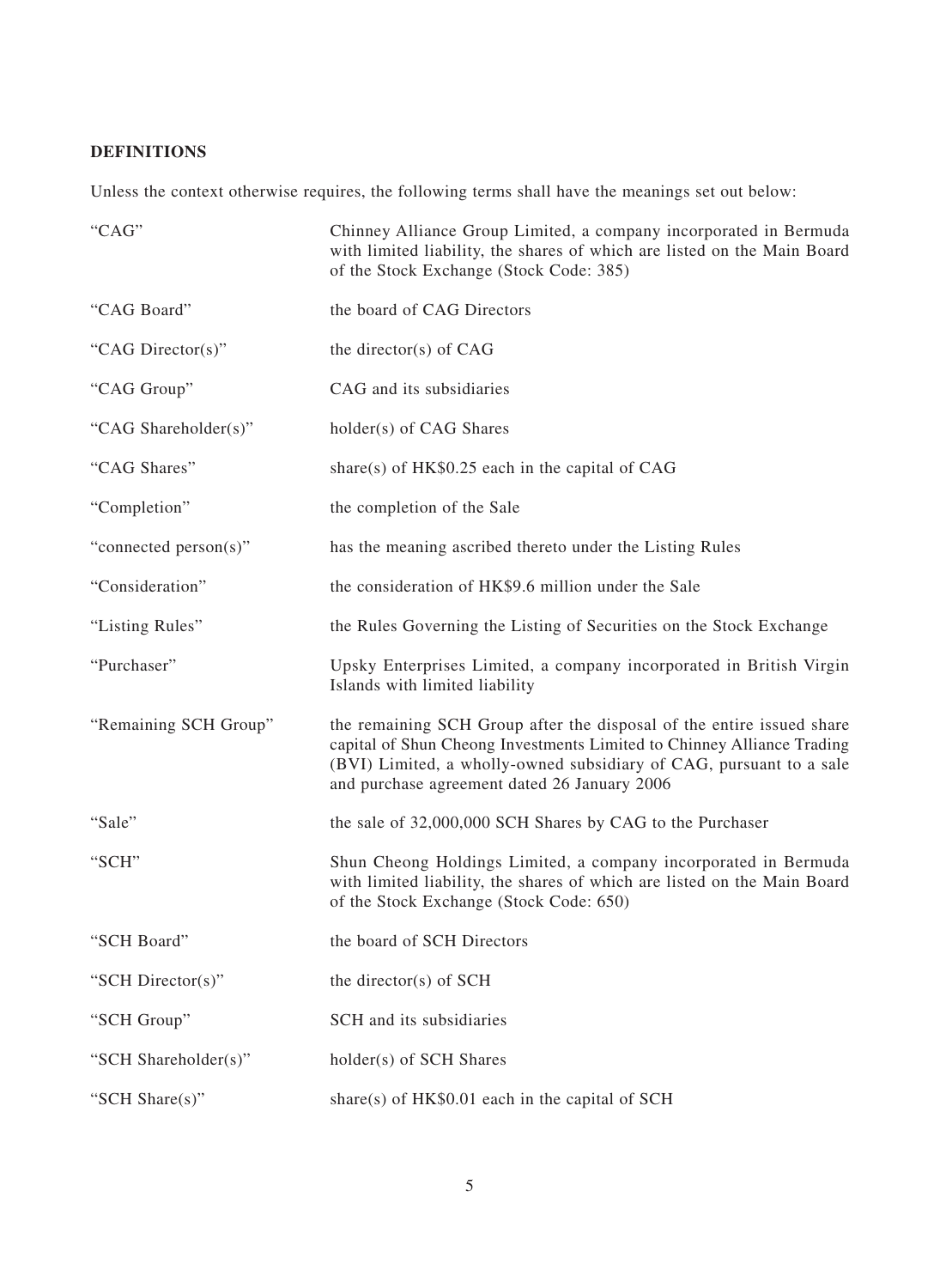# **DEFINITIONS**

Unless the context otherwise requires, the following terms shall have the meanings set out below:

| "CAG"                 | Chinney Alliance Group Limited, a company incorporated in Bermuda<br>with limited liability, the shares of which are listed on the Main Board<br>of the Stock Exchange (Stock Code: 385)                                                                               |
|-----------------------|------------------------------------------------------------------------------------------------------------------------------------------------------------------------------------------------------------------------------------------------------------------------|
| "CAG Board"           | the board of CAG Directors                                                                                                                                                                                                                                             |
| "CAG Director(s)"     | the director(s) of $CAG$                                                                                                                                                                                                                                               |
| "CAG Group"           | CAG and its subsidiaries                                                                                                                                                                                                                                               |
| "CAG Shareholder(s)"  | holder(s) of CAG Shares                                                                                                                                                                                                                                                |
| "CAG Shares"          | share(s) of $HK$0.25$ each in the capital of CAG                                                                                                                                                                                                                       |
| "Completion"          | the completion of the Sale                                                                                                                                                                                                                                             |
| "connected person(s)" | has the meaning ascribed thereto under the Listing Rules                                                                                                                                                                                                               |
| "Consideration"       | the consideration of HK\$9.6 million under the Sale                                                                                                                                                                                                                    |
| "Listing Rules"       | the Rules Governing the Listing of Securities on the Stock Exchange                                                                                                                                                                                                    |
| "Purchaser"           | Upsky Enterprises Limited, a company incorporated in British Virgin<br>Islands with limited liability                                                                                                                                                                  |
| "Remaining SCH Group" | the remaining SCH Group after the disposal of the entire issued share<br>capital of Shun Cheong Investments Limited to Chinney Alliance Trading<br>(BVI) Limited, a wholly-owned subsidiary of CAG, pursuant to a sale<br>and purchase agreement dated 26 January 2006 |
| "Sale"                | the sale of 32,000,000 SCH Shares by CAG to the Purchaser                                                                                                                                                                                                              |
| "SCH"                 | Shun Cheong Holdings Limited, a company incorporated in Bermuda<br>with limited liability, the shares of which are listed on the Main Board<br>of the Stock Exchange (Stock Code: 650)                                                                                 |
| "SCH Board"           | the board of SCH Directors                                                                                                                                                                                                                                             |
| "SCH Director(s)"     | the director(s) of $SCH$                                                                                                                                                                                                                                               |
| "SCH Group"           | SCH and its subsidiaries                                                                                                                                                                                                                                               |
| "SCH Shareholder(s)"  | holder(s) of SCH Shares                                                                                                                                                                                                                                                |
| "SCH Share(s)"        | share(s) of $HK$0.01$ each in the capital of SCH                                                                                                                                                                                                                       |